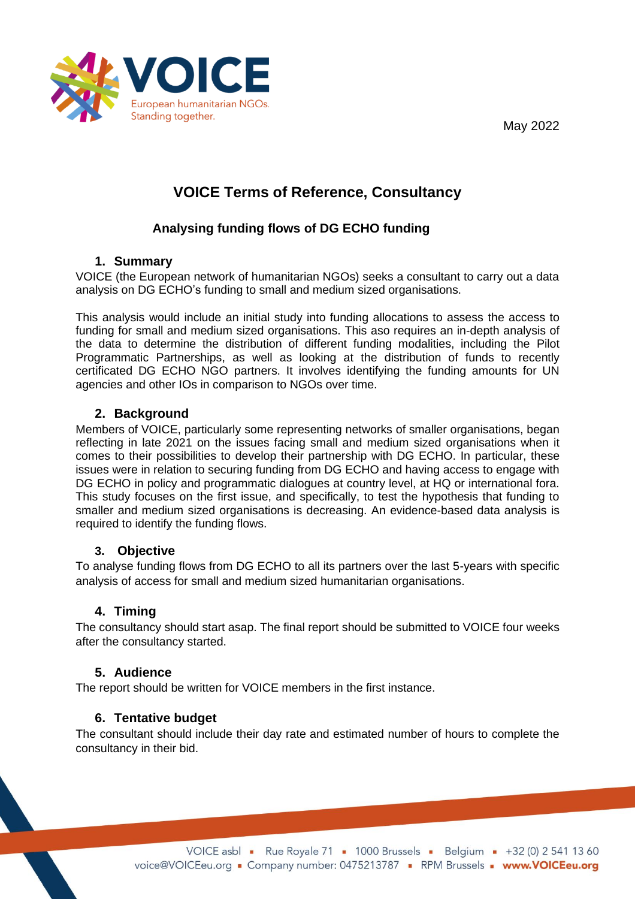May 2022



# **VOICE Terms of Reference, Consultancy**

# **Analysing funding flows of DG ECHO funding**

#### **1. Summary**

VOICE (the European network of humanitarian NGOs) seeks a consultant to carry out a data analysis on DG ECHO's funding to small and medium sized organisations.

This analysis would include an initial study into funding allocations to assess the access to funding for small and medium sized organisations. This aso requires an in-depth analysis of the data to determine the distribution of different funding modalities, including the Pilot Programmatic Partnerships, as well as looking at the distribution of funds to recently certificated DG ECHO NGO partners. It involves identifying the funding amounts for UN agencies and other IOs in comparison to NGOs over time.

## **2. Background**

Members of VOICE, particularly some representing networks of smaller organisations, began reflecting in late 2021 on the issues facing small and medium sized organisations when it comes to their possibilities to develop their partnership with DG ECHO. In particular, these issues were in relation to securing funding from DG ECHO and having access to engage with DG ECHO in policy and programmatic dialogues at country level, at HQ or international fora. This study focuses on the first issue, and specifically, to test the hypothesis that funding to smaller and medium sized organisations is decreasing. An evidence-based data analysis is required to identify the funding flows.

#### **3. Objective**

To analyse funding flows from DG ECHO to all its partners over the last 5-years with specific analysis of access for small and medium sized humanitarian organisations.

# **4. Timing**

The consultancy should start asap. The final report should be submitted to VOICE four weeks after the consultancy started.

#### **5. Audience**

The report should be written for VOICE members in the first instance.

# **6. Tentative budget**

The consultant should include their day rate and estimated number of hours to complete the consultancy in their bid.